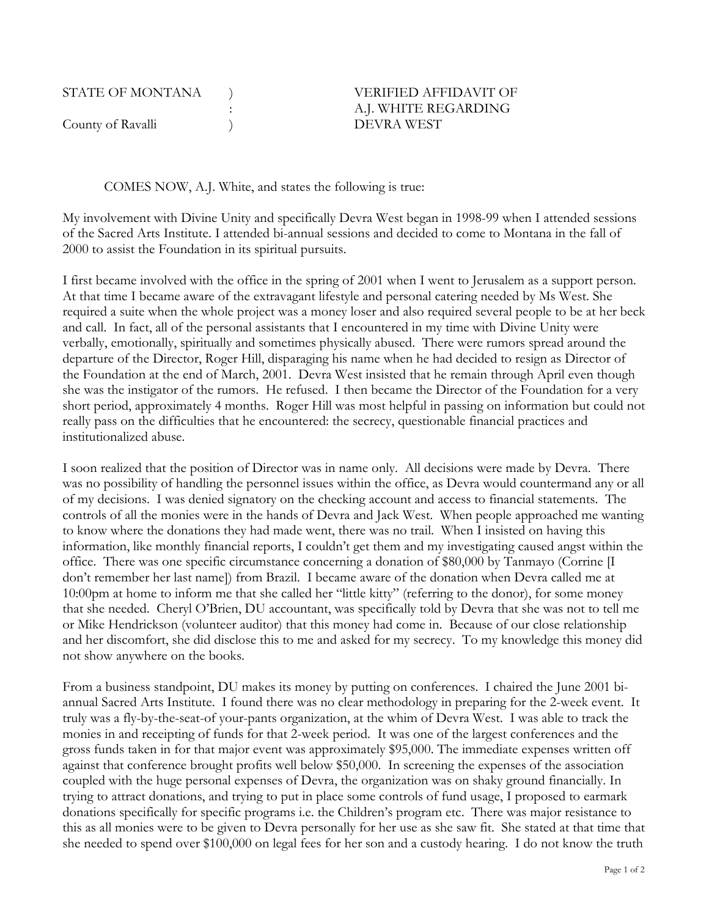| STATE OF MONTANA  | <b>VERIFIED AFFIDAVIT OF</b> |
|-------------------|------------------------------|
|                   | A.J. WHITE REGARDING         |
| County of Ravalli | DEVRA WEST                   |

COMES NOW, A.J. White, and states the following is true:

My involvement with Divine Unity and specifically Devra West began in 1998-99 when I attended sessions of the Sacred Arts Institute. I attended bi-annual sessions and decided to come to Montana in the fall of 2000 to assist the Foundation in its spiritual pursuits.

I first became involved with the office in the spring of 2001 when I went to Jerusalem as a support person. At that time I became aware of the extravagant lifestyle and personal catering needed by Ms West. She required a suite when the whole project was a money loser and also required several people to be at her beck and call. In fact, all of the personal assistants that I encountered in my time with Divine Unity were verbally, emotionally, spiritually and sometimes physically abused. There were rumors spread around the departure of the Director, Roger Hill, disparaging his name when he had decided to resign as Director of the Foundation at the end of March, 2001. Devra West insisted that he remain through April even though she was the instigator of the rumors. He refused. I then became the Director of the Foundation for a very short period, approximately 4 months. Roger Hill was most helpful in passing on information but could not really pass on the difficulties that he encountered: the secrecy, questionable financial practices and institutionalized abuse.

I soon realized that the position of Director was in name only. All decisions were made by Devra. There was no possibility of handling the personnel issues within the office, as Devra would countermand any or all of my decisions. I was denied signatory on the checking account and access to financial statements. The controls of all the monies were in the hands of Devra and Jack West. When people approached me wanting to know where the donations they had made went, there was no trail. When I insisted on having this information, like monthly financial reports, I couldn't get them and my investigating caused angst within the office. There was one specific circumstance concerning a donation of \$80,000 by Tanmayo (Corrine [I don't remember her last name]) from Brazil. I became aware of the donation when Devra called me at 10:00pm at home to inform me that she called her "little kitty" (referring to the donor), for some money that she needed. Cheryl O'Brien, DU accountant, was specifically told by Devra that she was not to tell me or Mike Hendrickson (volunteer auditor) that this money had come in. Because of our close relationship and her discomfort, she did disclose this to me and asked for my secrecy. To my knowledge this money did not show anywhere on the books.

From a business standpoint, DU makes its money by putting on conferences. I chaired the June 2001 biannual Sacred Arts Institute. I found there was no clear methodology in preparing for the 2-week event. It truly was a fly-by-the-seat-of your-pants organization, at the whim of Devra West. I was able to track the monies in and receipting of funds for that 2-week period. It was one of the largest conferences and the gross funds taken in for that major event was approximately \$95,000. The immediate expenses written off against that conference brought profits well below \$50,000. In screening the expenses of the association coupled with the huge personal expenses of Devra, the organization was on shaky ground financially. In trying to attract donations, and trying to put in place some controls of fund usage, I proposed to earmark donations specifically for specific programs i.e. the Children's program etc. There was major resistance to this as all monies were to be given to Devra personally for her use as she saw fit. She stated at that time that she needed to spend over \$100,000 on legal fees for her son and a custody hearing. I do not know the truth